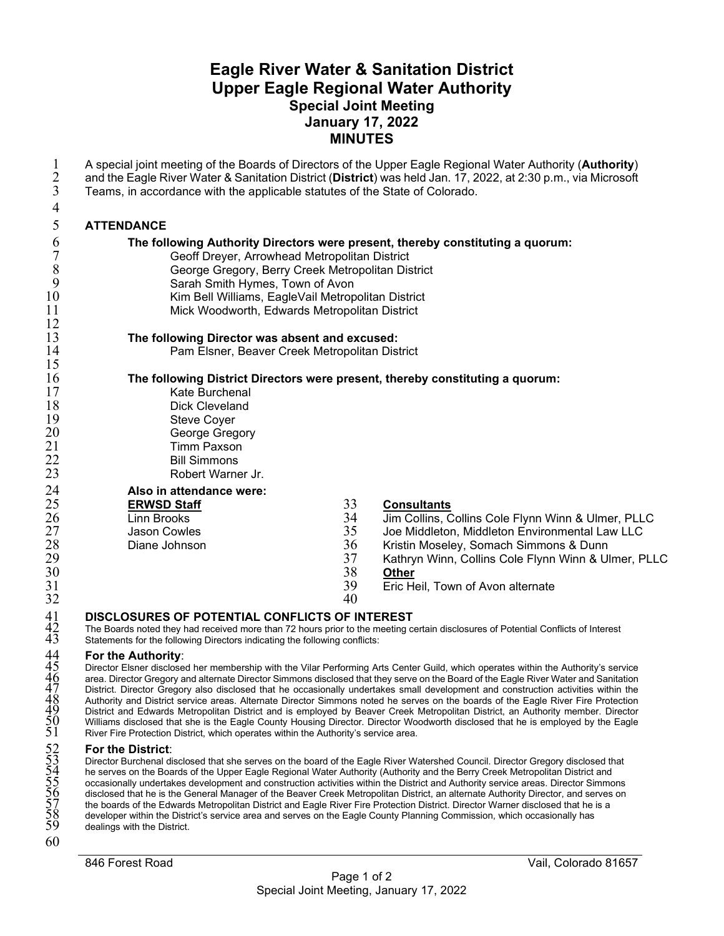## **Eagle River Water & Sanitation District Upper Eagle Regional Water Authority Special Joint Meeting January 17, 2022 MINUTES**

| $\mathbf{1}$<br>$\overline{2}$     | A special joint meeting of the Boards of Directors of the Upper Eagle Regional Water Authority (Authority)<br>and the Eagle River Water & Sanitation District (District) was held Jan. 17, 2022, at 2:30 p.m., via Microsoft                                                                                                                                                                                                                                                                                                                           |    |                                                                                                                                                                                                                                                                    |
|------------------------------------|--------------------------------------------------------------------------------------------------------------------------------------------------------------------------------------------------------------------------------------------------------------------------------------------------------------------------------------------------------------------------------------------------------------------------------------------------------------------------------------------------------------------------------------------------------|----|--------------------------------------------------------------------------------------------------------------------------------------------------------------------------------------------------------------------------------------------------------------------|
| $\mathfrak{Z}$<br>$\overline{4}$   | Teams, in accordance with the applicable statutes of the State of Colorado.                                                                                                                                                                                                                                                                                                                                                                                                                                                                            |    |                                                                                                                                                                                                                                                                    |
| 5                                  | <b>ATTENDANCE</b>                                                                                                                                                                                                                                                                                                                                                                                                                                                                                                                                      |    |                                                                                                                                                                                                                                                                    |
| 6                                  | The following Authority Directors were present, thereby constituting a quorum:                                                                                                                                                                                                                                                                                                                                                                                                                                                                         |    |                                                                                                                                                                                                                                                                    |
| 7                                  | Geoff Dreyer, Arrowhead Metropolitan District                                                                                                                                                                                                                                                                                                                                                                                                                                                                                                          |    |                                                                                                                                                                                                                                                                    |
| $\,$ $\,$                          | George Gregory, Berry Creek Metropolitan District                                                                                                                                                                                                                                                                                                                                                                                                                                                                                                      |    |                                                                                                                                                                                                                                                                    |
| 9                                  | Sarah Smith Hymes, Town of Avon                                                                                                                                                                                                                                                                                                                                                                                                                                                                                                                        |    |                                                                                                                                                                                                                                                                    |
| 10                                 | Kim Bell Williams, EagleVail Metropolitan District                                                                                                                                                                                                                                                                                                                                                                                                                                                                                                     |    |                                                                                                                                                                                                                                                                    |
| 11                                 | Mick Woodworth, Edwards Metropolitan District                                                                                                                                                                                                                                                                                                                                                                                                                                                                                                          |    |                                                                                                                                                                                                                                                                    |
| 12                                 |                                                                                                                                                                                                                                                                                                                                                                                                                                                                                                                                                        |    |                                                                                                                                                                                                                                                                    |
| 13                                 | The following Director was absent and excused:                                                                                                                                                                                                                                                                                                                                                                                                                                                                                                         |    |                                                                                                                                                                                                                                                                    |
| 14                                 | Pam Elsner, Beaver Creek Metropolitan District                                                                                                                                                                                                                                                                                                                                                                                                                                                                                                         |    |                                                                                                                                                                                                                                                                    |
| 15                                 |                                                                                                                                                                                                                                                                                                                                                                                                                                                                                                                                                        |    |                                                                                                                                                                                                                                                                    |
| 16<br>17                           | The following District Directors were present, thereby constituting a quorum:<br>Kate Burchenal                                                                                                                                                                                                                                                                                                                                                                                                                                                        |    |                                                                                                                                                                                                                                                                    |
| 18                                 | <b>Dick Cleveland</b>                                                                                                                                                                                                                                                                                                                                                                                                                                                                                                                                  |    |                                                                                                                                                                                                                                                                    |
| 19                                 | <b>Steve Coyer</b>                                                                                                                                                                                                                                                                                                                                                                                                                                                                                                                                     |    |                                                                                                                                                                                                                                                                    |
| 20                                 | George Gregory                                                                                                                                                                                                                                                                                                                                                                                                                                                                                                                                         |    |                                                                                                                                                                                                                                                                    |
| 21                                 | <b>Timm Paxson</b>                                                                                                                                                                                                                                                                                                                                                                                                                                                                                                                                     |    |                                                                                                                                                                                                                                                                    |
| 22                                 | <b>Bill Simmons</b>                                                                                                                                                                                                                                                                                                                                                                                                                                                                                                                                    |    |                                                                                                                                                                                                                                                                    |
| 23                                 | Robert Warner Jr.                                                                                                                                                                                                                                                                                                                                                                                                                                                                                                                                      |    |                                                                                                                                                                                                                                                                    |
| 24                                 | Also in attendance were:                                                                                                                                                                                                                                                                                                                                                                                                                                                                                                                               |    |                                                                                                                                                                                                                                                                    |
| 25                                 | <b>ERWSD Staff</b>                                                                                                                                                                                                                                                                                                                                                                                                                                                                                                                                     | 33 | <b>Consultants</b>                                                                                                                                                                                                                                                 |
| 26                                 | <b>Linn Brooks</b>                                                                                                                                                                                                                                                                                                                                                                                                                                                                                                                                     | 34 | Jim Collins, Collins Cole Flynn Winn & Ulmer, PLLC                                                                                                                                                                                                                 |
| 27                                 | Jason Cowles                                                                                                                                                                                                                                                                                                                                                                                                                                                                                                                                           | 35 | Joe Middleton, Middleton Environmental Law LLC                                                                                                                                                                                                                     |
| 28                                 | Diane Johnson                                                                                                                                                                                                                                                                                                                                                                                                                                                                                                                                          | 36 | Kristin Moseley, Somach Simmons & Dunn                                                                                                                                                                                                                             |
| 29                                 |                                                                                                                                                                                                                                                                                                                                                                                                                                                                                                                                                        | 37 | Kathryn Winn, Collins Cole Flynn Winn & Ulmer, PLLC                                                                                                                                                                                                                |
| 30                                 |                                                                                                                                                                                                                                                                                                                                                                                                                                                                                                                                                        | 38 | Other                                                                                                                                                                                                                                                              |
| 31                                 |                                                                                                                                                                                                                                                                                                                                                                                                                                                                                                                                                        | 39 | Eric Heil, Town of Avon alternate                                                                                                                                                                                                                                  |
| 32                                 |                                                                                                                                                                                                                                                                                                                                                                                                                                                                                                                                                        | 40 |                                                                                                                                                                                                                                                                    |
| $^{41}_{42}_{43}$                  | <b>DISCLOSURES OF POTENTIAL CONFLICTS OF INTEREST</b><br>The Boards noted they had received more than 72 hours prior to the meeting certain disclosures of Potential Conflicts of Interest                                                                                                                                                                                                                                                                                                                                                             |    |                                                                                                                                                                                                                                                                    |
|                                    | Statements for the following Directors indicating the following conflicts:                                                                                                                                                                                                                                                                                                                                                                                                                                                                             |    |                                                                                                                                                                                                                                                                    |
|                                    | For the Authority:                                                                                                                                                                                                                                                                                                                                                                                                                                                                                                                                     |    |                                                                                                                                                                                                                                                                    |
|                                    | Director Elsner disclosed her membership with the Vilar Performing Arts Center Guild, which operates within the Authority's service<br>area. Director Gregory and alternate Director Simmons disclosed that they serve on the Board of the Eagle River Water and Sanitation<br>District. Director Gregory also disclosed that he occasionally undertakes small development and construction activities within the<br>Authority and District service areas. Alternate Director Simmons noted he serves on the boards of the Eagle River Fire Protection |    |                                                                                                                                                                                                                                                                    |
|                                    |                                                                                                                                                                                                                                                                                                                                                                                                                                                                                                                                                        |    |                                                                                                                                                                                                                                                                    |
|                                    |                                                                                                                                                                                                                                                                                                                                                                                                                                                                                                                                                        |    |                                                                                                                                                                                                                                                                    |
| 445<br>45<br>467<br>48<br>49<br>50 |                                                                                                                                                                                                                                                                                                                                                                                                                                                                                                                                                        |    | District and Edwards Metropolitan District and is employed by Beaver Creek Metropolitan District, an Authority member. Director<br>Williams disclosed that she is the Eagle County Housing Director. Director Woodworth disclosed that he is employed by the Eagle |

River Fire Protection District, which operates within the Authority's service area.

#### **For the District:**

Director Burchenal disclosed that she serves on the board of the Eagle River Watershed Council. Director Gregory disclosed that he serves on the Boards of the Upper Eagle Regional Water Authority (Authority and the Berry Creek Metropolitan District and occasionally undertakes development and construction activities within the District and Authority service areas. Director Simmons disclosed that he is the General Manager of the Beaver Creek Metropolitan District, an alternate Authority Director, and serves on the boards of the Edwards Metropolitan District and Eagle River Fire Protection District. Director Warner disclosed that he is a developer within the District's service area and serves on the Eagle County Planning Commission, which occasionally has dealings with the District.